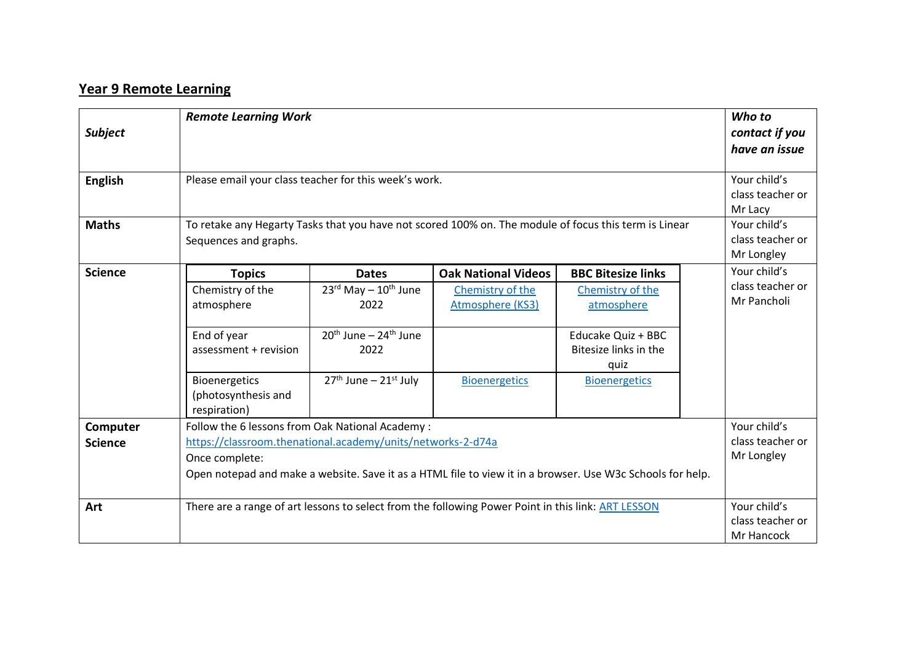## **Year 9 Remote Learning**

| <b>Subject</b><br><b>English</b> |                                                                                                                                                                                                                                                                | <b>Remote Learning Work</b><br>Please email your class teacher for this week's work.                                                   |                                                                                            |                                                                                                                                            |  |                                                 |
|----------------------------------|----------------------------------------------------------------------------------------------------------------------------------------------------------------------------------------------------------------------------------------------------------------|----------------------------------------------------------------------------------------------------------------------------------------|--------------------------------------------------------------------------------------------|--------------------------------------------------------------------------------------------------------------------------------------------|--|-------------------------------------------------|
| <b>Maths</b>                     | class teacher or<br>Mr Lacy<br>Your child's<br>To retake any Hegarty Tasks that you have not scored 100% on. The module of focus this term is Linear<br>class teacher or<br>Sequences and graphs.<br>Mr Longley                                                |                                                                                                                                        |                                                                                            |                                                                                                                                            |  |                                                 |
| <b>Science</b>                   | <b>Topics</b><br>Chemistry of the<br>atmosphere<br>End of year<br>assessment + revision<br>Bioenergetics<br>(photosynthesis and                                                                                                                                | <b>Dates</b><br>$23^{\text{rd}}$ May - $10^{\text{th}}$ June<br>2022<br>$20th$ June – $24th$ June<br>2022<br>$27th$ June – $21st$ July | <b>Oak National Videos</b><br>Chemistry of the<br>Atmosphere (KS3)<br><b>Bioenergetics</b> | <b>BBC Bitesize links</b><br>Chemistry of the<br>atmosphere<br>Educake Quiz + BBC<br>Bitesize links in the<br>quiz<br><b>Bioenergetics</b> |  | Your child's<br>class teacher or<br>Mr Pancholi |
| Computer<br><b>Science</b>       | respiration)<br>Follow the 6 lessons from Oak National Academy:<br>https://classroom.thenational.academy/units/networks-2-d74a<br>Once complete:<br>Open notepad and make a website. Save it as a HTML file to view it in a browser. Use W3c Schools for help. |                                                                                                                                        |                                                                                            |                                                                                                                                            |  | Your child's<br>class teacher or<br>Mr Longley  |
| Art                              | There are a range of art lessons to select from the following Power Point in this link: ART LESSON                                                                                                                                                             |                                                                                                                                        |                                                                                            |                                                                                                                                            |  | Your child's<br>class teacher or<br>Mr Hancock  |